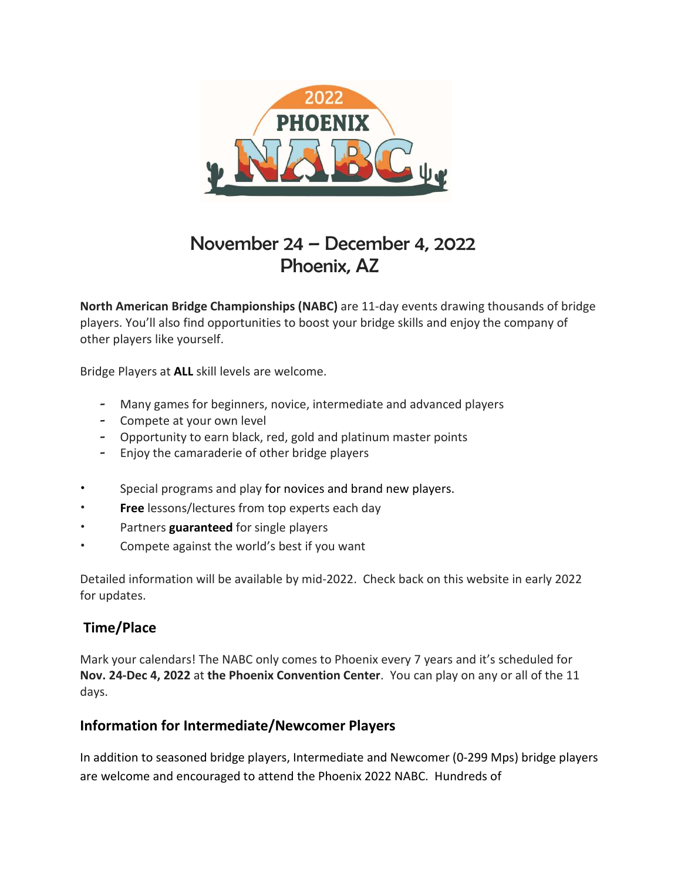

# November 24 – December 4, 2022 Phoenix, AZ

North American Bridge Championships (NABC) are 11-day events drawing thousands of bridge players. You'll also find opportunities to boost your bridge skills and enjoy the company of other players like yourself.

Bridge Players at ALL skill levels are welcome.

- Many games for beginners, novice, intermediate and advanced players
- Compete at your own level
- Opportunity to earn black, red, gold and platinum master points
- Enjoy the camaraderie of other bridge players
- Special programs and play for novices and brand new players.
- Free lessons/lectures from top experts each day
- Partners guaranteed for single players
- Compete against the world's best if you want

Detailed information will be available by mid-2022. Check back on this website in early 2022 for updates.

## Time/Place

Mark your calendars! The NABC only comes to Phoenix every 7 years and it's scheduled for Nov. 24-Dec 4, 2022 at the Phoenix Convention Center. You can play on any or all of the 11 days.

## Information for Intermediate/Newcomer Players

In addition to seasoned bridge players, Intermediate and Newcomer (0-299 Mps) bridge players are welcome and encouraged to attend the Phoenix 2022 NABC. Hundreds of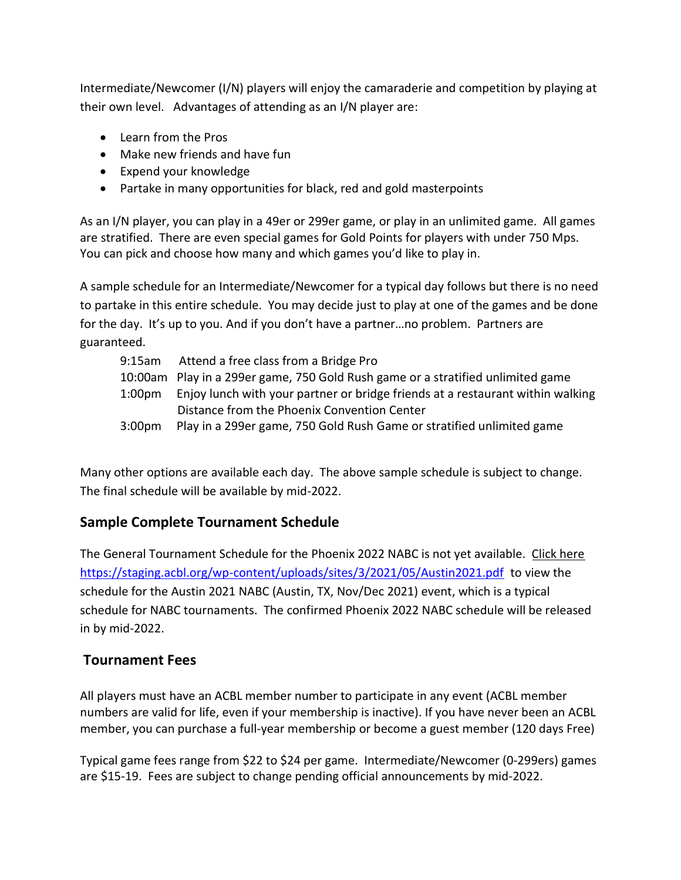Intermediate/Newcomer (I/N) players will enjoy the camaraderie and competition by playing at their own level. Advantages of attending as an I/N player are:

- Learn from the Pros
- Make new friends and have fun
- Expend your knowledge
- Partake in many opportunities for black, red and gold masterpoints

As an I/N player, you can play in a 49er or 299er game, or play in an unlimited game. All games are stratified. There are even special games for Gold Points for players with under 750 Mps. You can pick and choose how many and which games you'd like to play in.

A sample schedule for an Intermediate/Newcomer for a typical day follows but there is no need to partake in this entire schedule. You may decide just to play at one of the games and be done for the day. It's up to you. And if you don't have a partner…no problem. Partners are guaranteed.

| $9:15$ am          | Attend a free class from a Bridge Pro                                           |
|--------------------|---------------------------------------------------------------------------------|
|                    | 10:00am Play in a 299er game, 750 Gold Rush game or a stratified unlimited game |
| 1:00pm             | Enjoy lunch with your partner or bridge friends at a restaurant within walking  |
|                    | Distance from the Phoenix Convention Center                                     |
| 3:00 <sub>pm</sub> | Play in a 299er game, 750 Gold Rush Game or stratified unlimited game           |

Many other options are available each day. The above sample schedule is subject to change. The final schedule will be available by mid-2022.

## Sample Complete Tournament Schedule

The General Tournament Schedule for the Phoenix 2022 NABC is not yet available. Click here https://staging.acbl.org/wp-content/uploads/sites/3/2021/05/Austin2021.pdf to view the schedule for the Austin 2021 NABC (Austin, TX, Nov/Dec 2021) event, which is a typical schedule for NABC tournaments. The confirmed Phoenix 2022 NABC schedule will be released in by mid-2022.

## Tournament Fees

All players must have an ACBL member number to participate in any event (ACBL member numbers are valid for life, even if your membership is inactive). If you have never been an ACBL member, you can purchase a full-year membership or become a guest member (120 days Free)

Typical game fees range from \$22 to \$24 per game. Intermediate/Newcomer (0-299ers) games are \$15-19. Fees are subject to change pending official announcements by mid-2022.